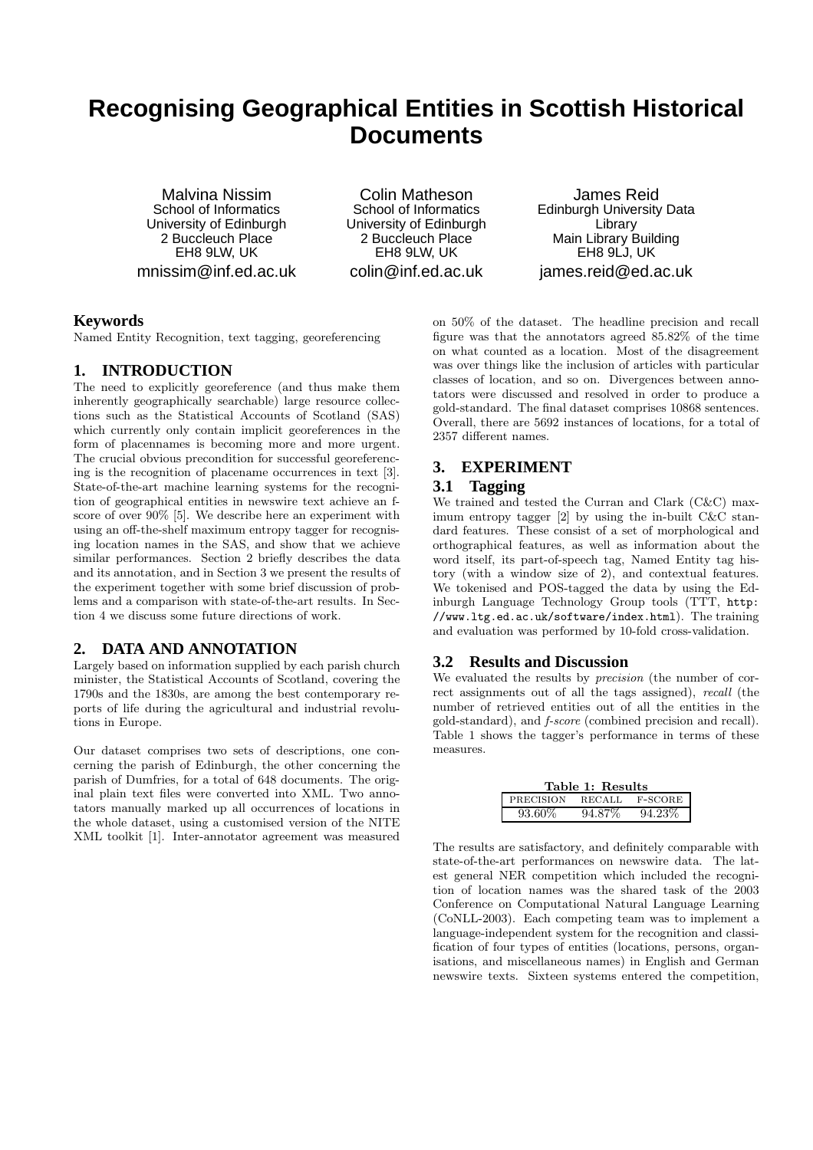# **Recognising Geographical Entities in Scottish Historical Documents**

Malvina Nissim School of Informatics University of Edinburgh 2 Buccleuch Place EH8 9LW, UK mnissim@inf.ed.ac.uk

Colin Matheson School of Informatics University of Edinburgh 2 Buccleuch Place EH8 9LW, UK colin@inf.ed.ac.uk

James Reid Edinburgh University Data Library Main Library Building EH8 9LJ, UK james.reid@ed.ac.uk

## **Keywords**

Named Entity Recognition, text tagging, georeferencing

## **1. INTRODUCTION**

The need to explicitly georeference (and thus make them inherently geographically searchable) large resource collections such as the Statistical Accounts of Scotland (SAS) which currently only contain implicit georeferences in the form of placennames is becoming more and more urgent. The crucial obvious precondition for successful georeferencing is the recognition of placename occurrences in text [3]. State-of-the-art machine learning systems for the recognition of geographical entities in newswire text achieve an fscore of over 90% [5]. We describe here an experiment with using an off-the-shelf maximum entropy tagger for recognising location names in the SAS, and show that we achieve similar performances. Section 2 briefly describes the data and its annotation, and in Section 3 we present the results of the experiment together with some brief discussion of problems and a comparison with state-of-the-art results. In Section 4 we discuss some future directions of work.

## **2. DATA AND ANNOTATION**

Largely based on information supplied by each parish church minister, the Statistical Accounts of Scotland, covering the 1790s and the 1830s, are among the best contemporary reports of life during the agricultural and industrial revolutions in Europe.

Our dataset comprises two sets of descriptions, one concerning the parish of Edinburgh, the other concerning the parish of Dumfries, for a total of 648 documents. The original plain text files were converted into XML. Two annotators manually marked up all occurrences of locations in the whole dataset, using a customised version of the NITE XML toolkit [1]. Inter-annotator agreement was measured

on 50% of the dataset. The headline precision and recall figure was that the annotators agreed 85.82% of the time on what counted as a location. Most of the disagreement was over things like the inclusion of articles with particular classes of location, and so on. Divergences between annotators were discussed and resolved in order to produce a gold-standard. The final dataset comprises 10868 sentences. Overall, there are 5692 instances of locations, for a total of 2357 different names.

## **3. EXPERIMENT**

### **3.1 Tagging**

We trained and tested the Curran and Clark (C&C) maximum entropy tagger [2] by using the in-built C&C standard features. These consist of a set of morphological and orthographical features, as well as information about the word itself, its part-of-speech tag, Named Entity tag history (with a window size of 2), and contextual features. We tokenised and POS-tagged the data by using the Edinburgh Language Technology Group tools (TTT, http: //www.ltg.ed.ac.uk/software/index.html). The training and evaluation was performed by 10-fold cross-validation.

### **3.2 Results and Discussion**

We evaluated the results by *precision* (the number of correct assignments out of all the tags assigned), recall (the number of retrieved entities out of all the entities in the gold-standard), and f-score (combined precision and recall). Table 1 shows the tagger's performance in terms of these measures.

| Table 1: Results |               |         |  |
|------------------|---------------|---------|--|
| PRECISION        | <b>RECALL</b> | F-SCORE |  |
| 93.60\%          | 94.87\%       | 94.23%  |  |

The results are satisfactory, and definitely comparable with state-of-the-art performances on newswire data. The latest general NER competition which included the recognition of location names was the shared task of the 2003 Conference on Computational Natural Language Learning (CoNLL-2003). Each competing team was to implement a language-independent system for the recognition and classification of four types of entities (locations, persons, organisations, and miscellaneous names) in English and German newswire texts. Sixteen systems entered the competition,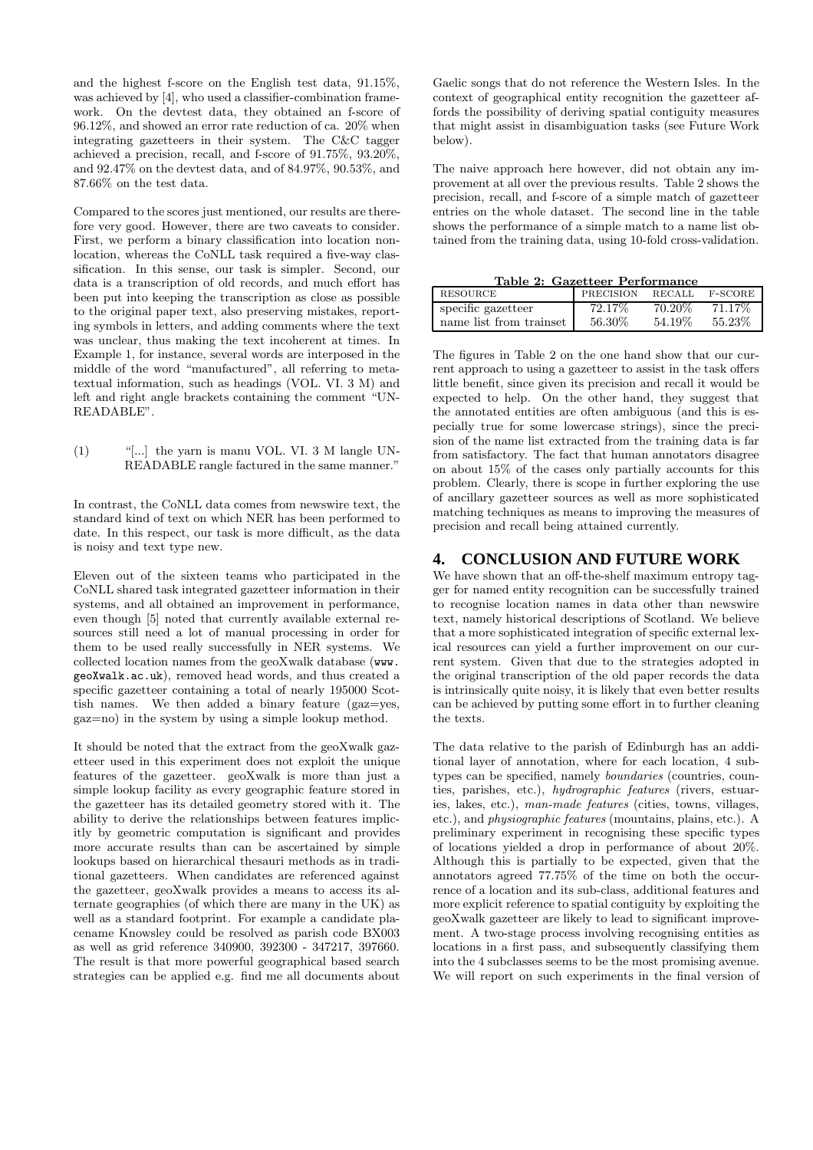and the highest f-score on the English test data, 91.15%, was achieved by [4], who used a classifier-combination framework. On the devtest data, they obtained an f-score of 96.12%, and showed an error rate reduction of ca. 20% when integrating gazetteers in their system. The C&C tagger achieved a precision, recall, and f-score of 91.75%, 93.20%, and 92.47% on the devtest data, and of 84.97%, 90.53%, and 87.66% on the test data.

Compared to the scores just mentioned, our results are therefore very good. However, there are two caveats to consider. First, we perform a binary classification into location nonlocation, whereas the CoNLL task required a five-way classification. In this sense, our task is simpler. Second, our data is a transcription of old records, and much effort has been put into keeping the transcription as close as possible to the original paper text, also preserving mistakes, reporting symbols in letters, and adding comments where the text was unclear, thus making the text incoherent at times. In Example 1, for instance, several words are interposed in the middle of the word "manufactured", all referring to metatextual information, such as headings (VOL. VI. 3 M) and left and right angle brackets containing the comment "UN-READABLE".

 $(1)$  "[...] the yarn is manu VOL. VI. 3 M langle UN-READABLE rangle factured in the same manner."

In contrast, the CoNLL data comes from newswire text, the standard kind of text on which NER has been performed to date. In this respect, our task is more difficult, as the data is noisy and text type new.

Eleven out of the sixteen teams who participated in the CoNLL shared task integrated gazetteer information in their systems, and all obtained an improvement in performance, even though [5] noted that currently available external resources still need a lot of manual processing in order for them to be used really successfully in NER systems. We collected location names from the geoXwalk database (www. geoXwalk.ac.uk), removed head words, and thus created a specific gazetteer containing a total of nearly 195000 Scottish names. We then added a binary feature (gaz=yes, gaz=no) in the system by using a simple lookup method.

It should be noted that the extract from the geoXwalk gazetteer used in this experiment does not exploit the unique features of the gazetteer. geoXwalk is more than just a simple lookup facility as every geographic feature stored in the gazetteer has its detailed geometry stored with it. The ability to derive the relationships between features implicitly by geometric computation is significant and provides more accurate results than can be ascertained by simple lookups based on hierarchical thesauri methods as in traditional gazetteers. When candidates are referenced against the gazetteer, geoXwalk provides a means to access its alternate geographies (of which there are many in the UK) as well as a standard footprint. For example a candidate placename Knowsley could be resolved as parish code BX003 as well as grid reference 340900, 392300 - 347217, 397660. The result is that more powerful geographical based search strategies can be applied e.g. find me all documents about

Gaelic songs that do not reference the Western Isles. In the context of geographical entity recognition the gazetteer affords the possibility of deriving spatial contiguity measures that might assist in disambiguation tasks (see Future Work below).

The naive approach here however, did not obtain any improvement at all over the previous results. Table 2 shows the precision, recall, and f-score of a simple match of gazetteer entries on the whole dataset. The second line in the table shows the performance of a simple match to a name list obtained from the training data, using 10-fold cross-validation.

Table 2: Gazetteer Performance

| RESOURCE                | PRECISION | <b>RECALL</b> | F-SCORE |
|-------------------------|-----------|---------------|---------|
| specific gazetteer      | 72.17\%   | 70.20%        | 71.17\% |
| name list from trainset | 56.30\%   | 54.19\%       | 55.23%  |

The figures in Table 2 on the one hand show that our current approach to using a gazetteer to assist in the task offers little benefit, since given its precision and recall it would be expected to help. On the other hand, they suggest that the annotated entities are often ambiguous (and this is especially true for some lowercase strings), since the precision of the name list extracted from the training data is far from satisfactory. The fact that human annotators disagree on about 15% of the cases only partially accounts for this problem. Clearly, there is scope in further exploring the use of ancillary gazetteer sources as well as more sophisticated matching techniques as means to improving the measures of precision and recall being attained currently.

### **4. CONCLUSION AND FUTURE WORK**

We have shown that an off-the-shelf maximum entropy tagger for named entity recognition can be successfully trained to recognise location names in data other than newswire text, namely historical descriptions of Scotland. We believe that a more sophisticated integration of specific external lexical resources can yield a further improvement on our current system. Given that due to the strategies adopted in the original transcription of the old paper records the data is intrinsically quite noisy, it is likely that even better results can be achieved by putting some effort in to further cleaning the texts.

The data relative to the parish of Edinburgh has an additional layer of annotation, where for each location, 4 subtypes can be specified, namely boundaries (countries, counties, parishes, etc.), hydrographic features (rivers, estuaries, lakes, etc.), man-made features (cities, towns, villages, etc.), and physiographic features (mountains, plains, etc.). A preliminary experiment in recognising these specific types of locations yielded a drop in performance of about 20%. Although this is partially to be expected, given that the annotators agreed 77.75% of the time on both the occurrence of a location and its sub-class, additional features and more explicit reference to spatial contiguity by exploiting the geoXwalk gazetteer are likely to lead to significant improvement. A two-stage process involving recognising entities as locations in a first pass, and subsequently classifying them into the 4 subclasses seems to be the most promising avenue. We will report on such experiments in the final version of